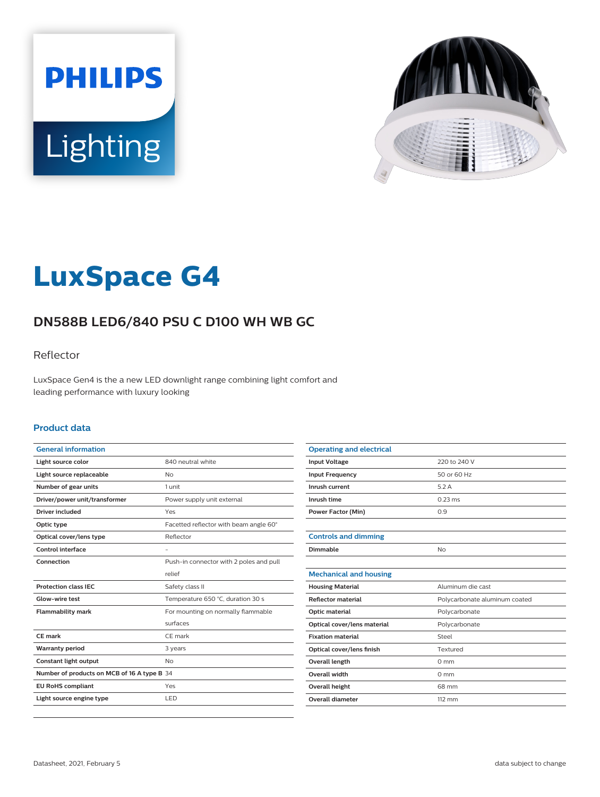



# **LuxSpace G4**

# **DN588B LED6/840 PSU C D100 WH WB GC**

### Reflector

LuxSpace Gen4 is the a new LED downlight range combining light comfort and leading performance with luxury looking

#### **Product data**

| <b>General information</b>                  |                                         |
|---------------------------------------------|-----------------------------------------|
| Light source color                          | 840 neutral white                       |
| Light source replaceable                    | N <sub>o</sub>                          |
| Number of gear units                        | 1 unit                                  |
| Driver/power unit/transformer               | Power supply unit external              |
| Driver included                             | Yes                                     |
| Optic type                                  | Facetted reflector with beam angle 60°  |
| Optical cover/lens type                     | Reflector                               |
| Control interface                           |                                         |
| Connection                                  | Push-in connector with 2 poles and pull |
|                                             | relief                                  |
| <b>Protection class IEC</b>                 | Safety class II                         |
| Glow-wire test                              | Temperature 650 °C, duration 30 s       |
| <b>Flammability mark</b>                    | For mounting on normally flammable      |
|                                             | surfaces                                |
| CF mark                                     | CE mark                                 |
| <b>Warranty period</b>                      | 3 years                                 |
| Constant light output                       | N <sub>o</sub>                          |
| Number of products on MCB of 16 A type B 34 |                                         |
| <b>EU RoHS compliant</b>                    | Yes                                     |
| Light source engine type                    | LED                                     |
|                                             |                                         |

| <b>Operating and electrical</b> |                               |
|---------------------------------|-------------------------------|
| <b>Input Voltage</b>            | 220 to 240 V                  |
| <b>Input Frequency</b>          | 50 or 60 Hz                   |
| Inrush current                  | 5.2A                          |
| Inrush time                     | $0.23 \text{ ms}$             |
| <b>Power Factor (Min)</b>       | 0.9                           |
|                                 |                               |
| <b>Controls and dimming</b>     |                               |
| Dimmable                        | No                            |
|                                 |                               |
| <b>Mechanical and housing</b>   |                               |
| <b>Housing Material</b>         | Aluminum die cast             |
| <b>Reflector material</b>       | Polycarbonate aluminum coated |
| Optic material                  | Polycarbonate                 |
| Optical cover/lens material     | Polycarbonate                 |
| <b>Fixation material</b>        | Steel                         |
| Optical cover/lens finish       | Textured                      |
| <b>Overall length</b>           | $0 \text{ mm}$                |
| Overall width                   | $0 \text{ mm}$                |
| <b>Overall height</b>           | 68 mm                         |
| Overall diameter                | $112 \, \text{mm}$            |
|                                 |                               |